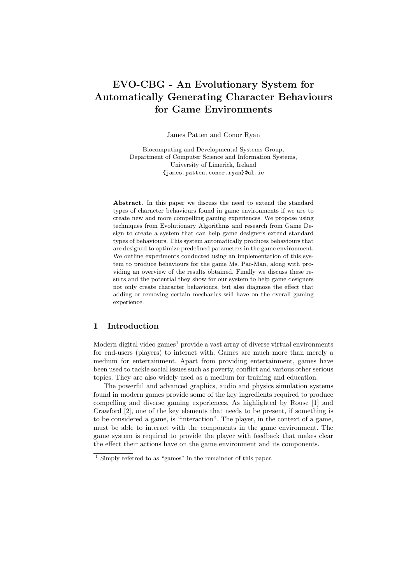# **EVO-CBG - An Evolutionary System for Automatically Generating Character Behaviours for Game Environments**

James Patten and Conor Ryan

Biocomputing and Developmental Systems Group, Department of Computer Science and Information Systems, University of Limerick, Ireland {james.patten,conor.ryan}@ul.ie

**Abstract.** In this paper we discuss the need to extend the standard types of character behaviours found in game environments if we are to create new and more compelling gaming experiences. We propose using techniques from Evolutionary Algorithms and research from Game Design to create a system that can help game designers extend standard types of behaviours. This system automatically produces behaviours that are designed to optimize predefined parameters in the game environment. We outline experiments conducted using an implementation of this system to produce behaviours for the game Ms. Pac-Man, along with providing an overview of the results obtained. Finally we discuss these results and the potential they show for our system to help game designers not only create character behaviours, but also diagnose the effect that adding or removing certain mechanics will have on the overall gaming experience.

## **1 Introduction**

Modern digital video games<sup>1</sup> provide a vast array of diverse virtual environments for end-users (players) to interact with. Games are much more than merely a medium for entertainment. Apart from providing entertainment, games have been used to tackle social issues such as poverty, conflict and various other serious topics. They are also widely used as a medium for training and education.

The powerful and advanced graphics, audio and physics simulation systems found in modern games provide some of the key ingredients required to produce compelling and diverse gaming experiences. As highlighted by Rouse [1] and Crawford [2], one of the key elements that needs to be present, if something is to be considered a game, is "interaction". The player, in the context of a game, must be able to interact with the components in the game environment. The game system is required to provide the player with feedback that makes clear the effect their actions have on the game environment and its components.

<sup>&</sup>lt;sup>1</sup> Simply referred to as "games" in the remainder of this paper.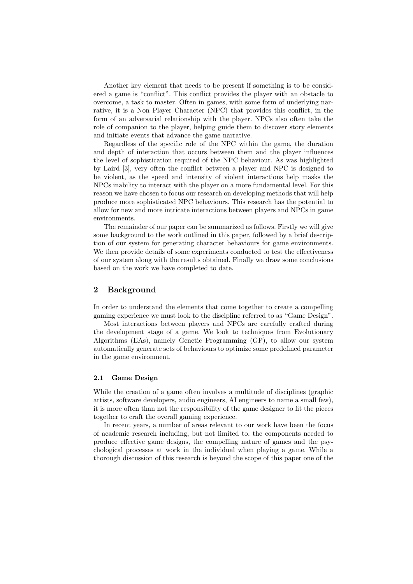Another key element that needs to be present if something is to be considered a game is "conflict". This conflict provides the player with an obstacle to overcome, a task to master. Often in games, with some form of underlying narrative, it is a Non Player Character (NPC) that provides this conflict, in the form of an adversarial relationship with the player. NPCs also often take the role of companion to the player, helping guide them to discover story elements and initiate events that advance the game narrative.

Regardless of the specific role of the NPC within the game, the duration and depth of interaction that occurs between them and the player influences the level of sophistication required of the NPC behaviour. As was highlighted by Laird [3], very often the conflict between a player and NPC is designed to be violent, as the speed and intensity of violent interactions help masks the NPCs inability to interact with the player on a more fundamental level. For this reason we have chosen to focus our research on developing methods that will help produce more sophisticated NPC behaviours. This research has the potential to allow for new and more intricate interactions between players and NPCs in game environments.

The remainder of our paper can be summarized as follows. Firstly we will give some background to the work outlined in this paper, followed by a brief description of our system for generating character behaviours for game environments. We then provide details of some experiments conducted to test the effectiveness of our system along with the results obtained. Finally we draw some conclusions based on the work we have completed to date.

### **2 Background**

In order to understand the elements that come together to create a compelling gaming experience we must look to the discipline referred to as "Game Design".

Most interactions between players and NPCs are carefully crafted during the development stage of a game. We look to techniques from Evolutionary Algorithms (EAs), namely Genetic Programming (GP), to allow our system automatically generate sets of behaviours to optimize some predefined parameter in the game environment.

#### **2.1 Game Design**

While the creation of a game often involves a multitude of disciplines (graphic artists, software developers, audio engineers, AI engineers to name a small few), it is more often than not the responsibility of the game designer to fit the pieces together to craft the overall gaming experience.

In recent years, a number of areas relevant to our work have been the focus of academic research including, but not limited to, the components needed to produce effective game designs, the compelling nature of games and the psychological processes at work in the individual when playing a game. While a thorough discussion of this research is beyond the scope of this paper one of the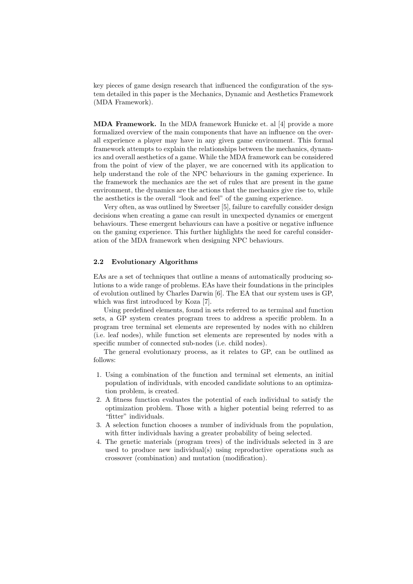key pieces of game design research that influenced the configuration of the system detailed in this paper is the Mechanics, Dynamic and Aesthetics Framework (MDA Framework).

**MDA Framework.** In the MDA framework Hunicke et. al [4] provide a more formalized overview of the main components that have an influence on the overall experience a player may have in any given game environment. This formal framework attempts to explain the relationships between the mechanics, dynamics and overall aesthetics of a game. While the MDA framework can be considered from the point of view of the player, we are concerned with its application to help understand the role of the NPC behaviours in the gaming experience. In the framework the mechanics are the set of rules that are present in the game environment, the dynamics are the actions that the mechanics give rise to, while the aesthetics is the overall "look and feel" of the gaming experience.

Very often, as was outlined by Sweetser [5], failure to carefully consider design decisions when creating a game can result in unexpected dynamics or emergent behaviours. These emergent behaviours can have a positive or negative influence on the gaming experience. This further highlights the need for careful consideration of the MDA framework when designing NPC behaviours.

#### **2.2 Evolutionary Algorithms**

EAs are a set of techniques that outline a means of automatically producing solutions to a wide range of problems. EAs have their foundations in the principles of evolution outlined by Charles Darwin [6]. The EA that our system uses is GP, which was first introduced by Koza [7].

Using predefined elements, found in sets referred to as terminal and function sets, a GP system creates program trees to address a specific problem. In a program tree terminal set elements are represented by nodes with no children (i.e. leaf nodes), while function set elements are represented by nodes with a specific number of connected sub-nodes (i.e. child nodes).

The general evolutionary process, as it relates to GP, can be outlined as follows:

- 1. Using a combination of the function and terminal set elements, an initial population of individuals, with encoded candidate solutions to an optimization problem, is created.
- 2. A fitness function evaluates the potential of each individual to satisfy the optimization problem. Those with a higher potential being referred to as "fitter" individuals.
- 3. A selection function chooses a number of individuals from the population, with fitter individuals having a greater probability of being selected.
- 4. The genetic materials (program trees) of the individuals selected in 3 are used to produce new individual(s) using reproductive operations such as crossover (combination) and mutation (modification).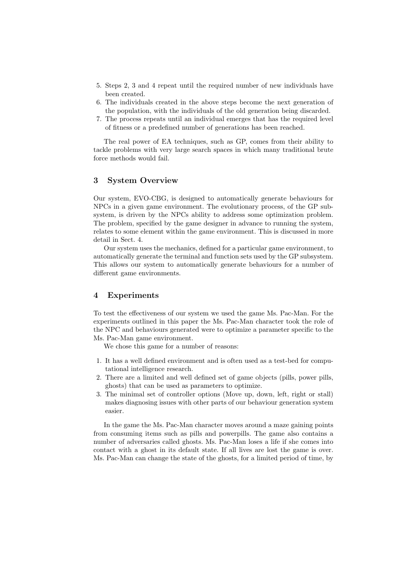- 5. Steps 2, 3 and 4 repeat until the required number of new individuals have been created.
- 6. The individuals created in the above steps become the next generation of the population, with the individuals of the old generation being discarded.
- 7. The process repeats until an individual emerges that has the required level of fitness or a predefined number of generations has been reached.

The real power of EA techniques, such as GP, comes from their ability to tackle problems with very large search spaces in which many traditional brute force methods would fail.

## **3 System Overview**

Our system, EVO-CBG, is designed to automatically generate behaviours for NPCs in a given game environment. The evolutionary process, of the GP subsystem, is driven by the NPCs ability to address some optimization problem. The problem, specified by the game designer in advance to running the system, relates to some element within the game environment. This is discussed in more detail in Sect. 4.

Our system uses the mechanics, defined for a particular game environment, to automatically generate the terminal and function sets used by the GP subsystem. This allows our system to automatically generate behaviours for a number of different game environments.

## **4 Experiments**

To test the effectiveness of our system we used the game Ms. Pac-Man. For the experiments outlined in this paper the Ms. Pac-Man character took the role of the NPC and behaviours generated were to optimize a parameter specific to the Ms. Pac-Man game environment.

We chose this game for a number of reasons:

- 1. It has a well defined environment and is often used as a test-bed for computational intelligence research.
- 2. There are a limited and well defined set of game objects (pills, power pills, ghosts) that can be used as parameters to optimize.
- 3. The minimal set of controller options (Move up, down, left, right or stall) makes diagnosing issues with other parts of our behaviour generation system easier.

In the game the Ms. Pac-Man character moves around a maze gaining points from consuming items such as pills and powerpills. The game also contains a number of adversaries called ghosts. Ms. Pac-Man loses a life if she comes into contact with a ghost in its default state. If all lives are lost the game is over. Ms. Pac-Man can change the state of the ghosts, for a limited period of time, by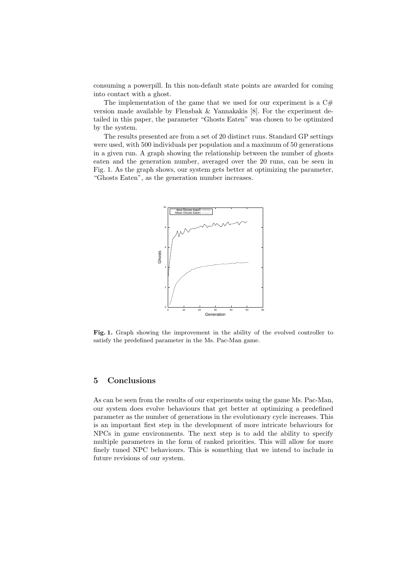consuming a powerpill. In this non-default state points are awarded for coming into contact with a ghost.

The implementation of the game that we used for our experiment is a  $C#$ version made available by Flensbak & Yannakakis [8]. For the experiment detailed in this paper, the parameter "Ghosts Eaten" was chosen to be optimized by the system.

The results presented are from a set of 20 distinct runs. Standard GP settings were used, with 500 individuals per population and a maximum of 50 generations in a given run. A graph showing the relationship between the number of ghosts eaten and the generation number, averaged over the 20 runs, can be seen in Fig. 1. As the graph shows, our system gets better at optimizing the parameter, "Ghosts Eaten", as the generation number increases.



**Fig. 1.** Graph showing the improvement in the ability of the evolved controller to satisfy the predefined parameter in the Ms. Pac-Man game.

## **5 Conclusions**

As can be seen from the results of our experiments using the game Ms. Pac-Man, our system does evolve behaviours that get better at optimizing a predefined parameter as the number of generations in the evolutionary cycle increases. This is an important first step in the development of more intricate behaviours for NPCs in game environments. The next step is to add the ability to specify multiple parameters in the form of ranked priorities. This will allow for more finely tuned NPC behaviours. This is something that we intend to include in future revisions of our system.